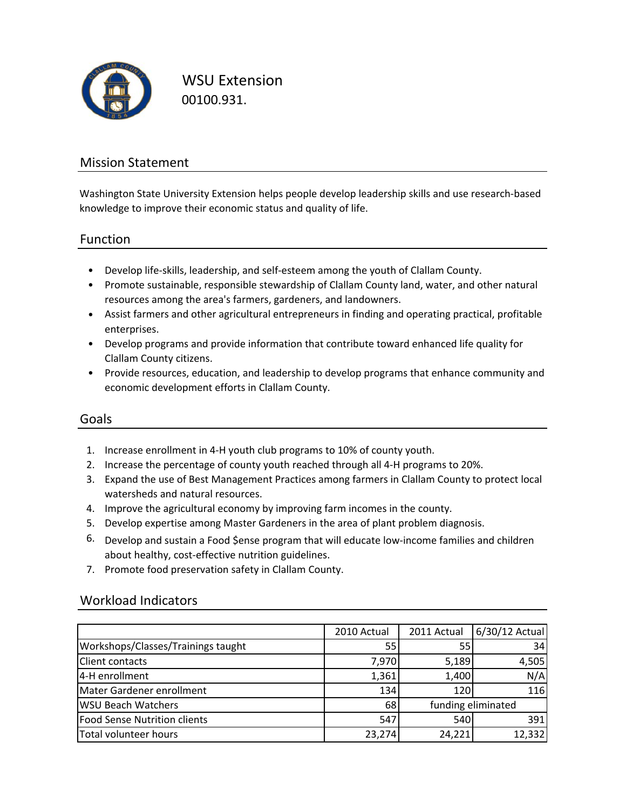

WSU Extension 00100.931.

### Mission Statement

Washington State University Extension helps people develop leadership skills and use research‐based knowledge to improve their economic status and quality of life.

### Function

- Develop life‐skills, leadership, and self‐esteem among the youth of Clallam County.
- Promote sustainable, responsible stewardship of Clallam County land, water, and other natural resources among the area's farmers, gardeners, and landowners.
- Assist farmers and other agricultural entrepreneurs in finding and operating practical, profitable enterprises.
- Develop programs and provide information that contribute toward enhanced life quality for Clallam County citizens.
- Provide resources, education, and leadership to develop programs that enhance community and economic development efforts in Clallam County.

### Goals

- 1. Increase enrollment in 4‐H youth club programs to 10% of county youth.
- 2. Increase the percentage of county youth reached through all 4‐H programs to 20%.
- 3. Expand the use of Best Management Practices among farmers in Clallam County to protect local watersheds and natural resources.
- 4. Improve the agricultural economy by improving farm incomes in the county.
- 5. Develop expertise among Master Gardeners in the area of plant problem diagnosis.
- 6. Develop and sustain a Food \$ense program that will educate low‐income families and children about healthy, cost-effective nutrition guidelines.
- 7. Promote food preservation safety in Clallam County.

### Workload Indicators

|                                    | 2010 Actual | 2011 Actual        | 6/30/12 Actual |
|------------------------------------|-------------|--------------------|----------------|
| Workshops/Classes/Trainings taught | 55          | 55                 | 34             |
| <b>Client contacts</b>             | 7,970       | 5,189              | 4,505          |
| 4-H enrollment                     | 1,361       | 1,400              | N/A            |
| Mater Gardener enrollment          | 134         | 120                | 116            |
| <b>WSU Beach Watchers</b>          | 68          | funding eliminated |                |
| Food Sense Nutrition clients       | 547         | 540                | 391            |
| Total volunteer hours              | 23,274      | 24,221             | 12,332         |